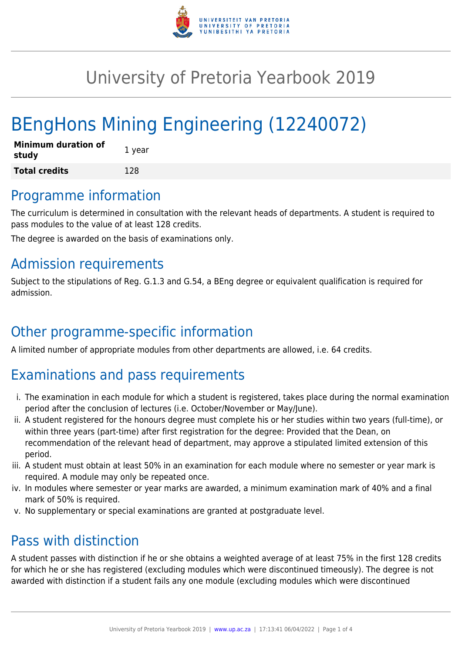

# University of Pretoria Yearbook 2019

# BEngHons Mining Engineering (12240072)

| <b>Minimum duration of</b><br>study | 1 year |
|-------------------------------------|--------|
| <b>Total credits</b>                | 128    |

### Programme information

The curriculum is determined in consultation with the relevant heads of departments. A student is required to pass modules to the value of at least 128 credits.

The degree is awarded on the basis of examinations only.

## Admission requirements

Subject to the stipulations of Reg. G.1.3 and G.54, a BEng degree or equivalent qualification is required for admission.

# Other programme-specific information

A limited number of appropriate modules from other departments are allowed, i.e. 64 credits.

# Examinations and pass requirements

- i. The examination in each module for which a student is registered, takes place during the normal examination period after the conclusion of lectures (i.e. October/November or May/June).
- ii. A student registered for the honours degree must complete his or her studies within two years (full-time), or within three years (part-time) after first registration for the degree: Provided that the Dean, on recommendation of the relevant head of department, may approve a stipulated limited extension of this period.
- iii. A student must obtain at least 50% in an examination for each module where no semester or year mark is required. A module may only be repeated once.
- iv. In modules where semester or year marks are awarded, a minimum examination mark of 40% and a final mark of 50% is required.
- v. No supplementary or special examinations are granted at postgraduate level.

### Pass with distinction

A student passes with distinction if he or she obtains a weighted average of at least 75% in the first 128 credits for which he or she has registered (excluding modules which were discontinued timeously). The degree is not awarded with distinction if a student fails any one module (excluding modules which were discontinued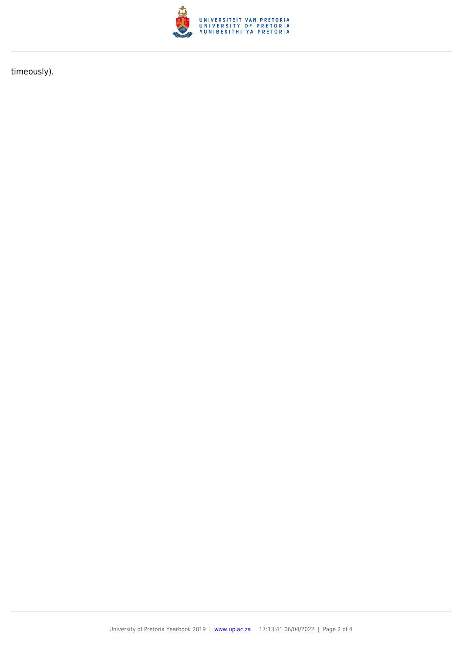

timeously).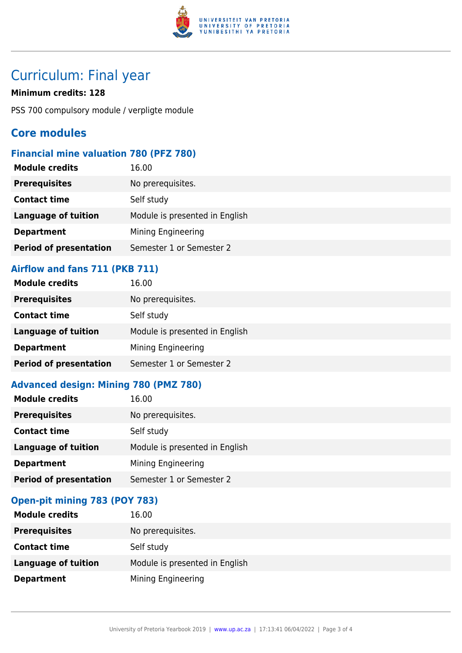

## Curriculum: Final year

#### **Minimum credits: 128**

PSS 700 compulsory module / verpligte module

### **Core modules**

### **Financial mine valuation 780 (PFZ 780)**

| <b>Module credits</b>         | 16.00                          |
|-------------------------------|--------------------------------|
| <b>Prerequisites</b>          | No prerequisites.              |
| <b>Contact time</b>           | Self study                     |
| <b>Language of tuition</b>    | Module is presented in English |
| <b>Department</b>             | Mining Engineering             |
| <b>Period of presentation</b> | Semester 1 or Semester 2       |

### **Airflow and fans 711 (PKB 711)**

| <b>Module credits</b>         | 16.00                          |
|-------------------------------|--------------------------------|
| <b>Prerequisites</b>          | No prerequisites.              |
| <b>Contact time</b>           | Self study                     |
| <b>Language of tuition</b>    | Module is presented in English |
| <b>Department</b>             | Mining Engineering             |
| <b>Period of presentation</b> | Semester 1 or Semester 2       |

#### **Advanced design: Mining 780 (PMZ 780)**

| <b>Module credits</b>         | 16.00                          |
|-------------------------------|--------------------------------|
| <b>Prerequisites</b>          | No prerequisites.              |
| <b>Contact time</b>           | Self study                     |
| <b>Language of tuition</b>    | Module is presented in English |
| <b>Department</b>             | Mining Engineering             |
| <b>Period of presentation</b> | Semester 1 or Semester 2       |

### **Open-pit mining 783 (POY 783)**

| <b>Module credits</b>      | 16.00                          |
|----------------------------|--------------------------------|
| <b>Prerequisites</b>       | No prerequisites.              |
| <b>Contact time</b>        | Self study                     |
| <b>Language of tuition</b> | Module is presented in English |
| <b>Department</b>          | Mining Engineering             |